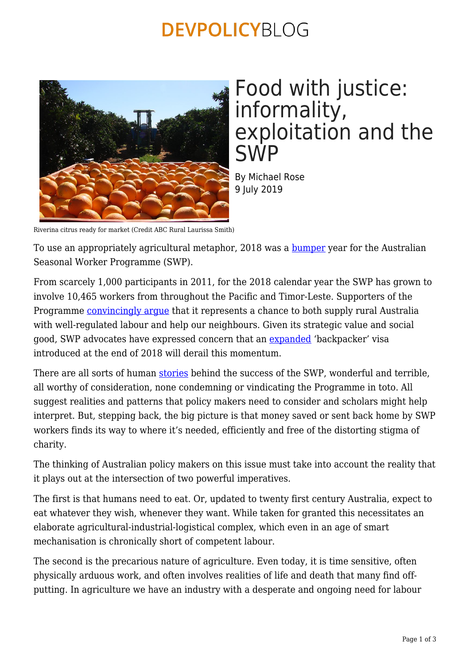## **DEVPOLICYBLOG**



## Food with justice: informality, exploitation and the SWP

By Michael Rose 9 July 2019

Riverina citrus ready for market (Credit ABC Rural Laurissa Smith)

To use an appropriately agricultural metaphor, 2018 was a **[bumper](https://devpolicy.org/another-bumper-year-for-the-seasonal-worker-programme-20180731/%22)** year for the Australian Seasonal Worker Programme (SWP).

From scarcely 1,000 participants in 2011, for the 2018 calendar year the SWP has grown to involve 10,465 workers from throughout the Pacific and Timor-Leste. Supporters of the Programme *convincingly argue* that it represents a chance to both supply rural Australia with well-regulated labour and help our neighbours. Given its strategic value and social good, SWP advocates have expressed concern that an [expanded](https://www.theguardian.com/australia-news/2018/nov/05/australia-to-relax-working-holiday-visas-to-ease-farm-jobs-shortage) 'backpacker' visa introduced at the end of 2018 will derail this momentum.

There are all sorts of human [stories](https://www.sbs.com.au/news/who-are-australia-s-seasonal-workers) behind the success of the SWP, wonderful and terrible, all worthy of consideration, none condemning or vindicating the Programme in toto. All suggest realities and patterns that policy makers need to consider and scholars might help interpret. But, stepping back, the big picture is that money saved or sent back home by SWP workers finds its way to where it's needed, efficiently and free of the distorting stigma of charity.

The thinking of Australian policy makers on this issue must take into account the reality that it plays out at the intersection of two powerful imperatives.

The first is that humans need to eat. Or, updated to twenty first century Australia, expect to eat whatever they wish, whenever they want. While taken for granted this necessitates an elaborate agricultural-industrial-logistical complex, which even in an age of smart mechanisation is chronically short of competent labour.

The second is the precarious nature of agriculture. Even today, it is time sensitive, often physically arduous work, and often involves realities of life and death that many find offputting. In agriculture we have an industry with a desperate and ongoing need for labour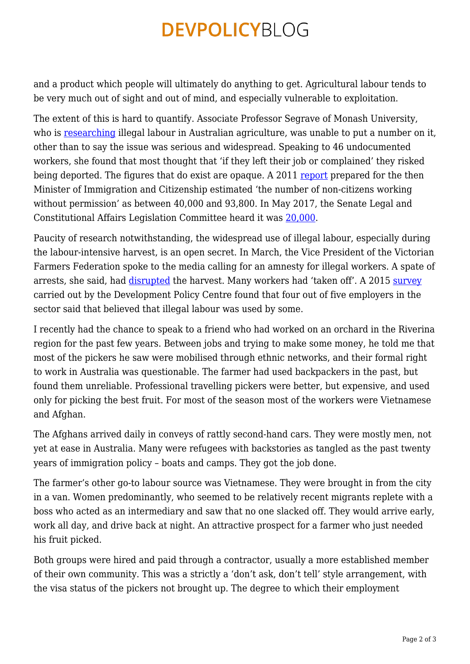## **DEVPOLICYBLOG**

and a product which people will ultimately do anything to get. Agricultural labour tends to be very much out of sight and out of mind, and especially vulnerable to exploitation.

The extent of this is hard to quantify. Associate Professor Segrave of Monash University, who is [researching](https://theconversation.com/what-its-like-to-live-and-work-illegally-in-australia-81478) illegal labour in Australian agriculture, was unable to put a number on it, other than to say the issue was serious and widespread. Speaking to 46 undocumented workers, she found that most thought that 'if they left their job or complained' they risked being deported. The figures that do exist are opaque. A 2011 [report](https://ris.pmc.gov.au/sites/default/files/posts/2012/01/03-Reform-of-Employer-Sanctions-RIS.pdf) prepared for the then Minister of Immigration and Citizenship estimated 'the number of non-citizens working without permission' as between 40,000 and 93,800. In May 2017, the Senate Legal and Constitutional Affairs Legislation Committee heard it was [20,000.](https://www.smh.com.au/public-service/more-than-64000-people-overstaying-visas-in-australia-20170718-gxddpj.html)

Paucity of research notwithstanding, the widespread use of illegal labour, especially during the labour-intensive harvest, is an open secret. In March, the Vice President of the Victorian Farmers Federation spoke to the media calling for an amnesty for illegal workers. A spate of arrests, she said, had [disrupted](https://www.abc.net.au/news/rural/2019-03-05/farmers-struggle-to-find-pickers-after-illegal-worker-crackdown/10871214) the harvest. Many workers had 'taken off'. A 2015 [survey](https://devpolicy.org/where-are-all-the-seasonal-workers-the-most-comprehensive-survey-of-employers-yet-20140218/) carried out by the Development Policy Centre found that four out of five employers in the sector said that believed that illegal labour was used by some.

I recently had the chance to speak to a friend who had worked on an orchard in the Riverina region for the past few years. Between jobs and trying to make some money, he told me that most of the pickers he saw were mobilised through ethnic networks, and their formal right to work in Australia was questionable. The farmer had used backpackers in the past, but found them unreliable. Professional travelling pickers were better, but expensive, and used only for picking the best fruit. For most of the season most of the workers were Vietnamese and Afghan.

The Afghans arrived daily in conveys of rattly second-hand cars. They were mostly men, not yet at ease in Australia. Many were refugees with backstories as tangled as the past twenty years of immigration policy – boats and camps. They got the job done.

The farmer's other go-to labour source was Vietnamese. They were brought in from the city in a van. Women predominantly, who seemed to be relatively recent migrants replete with a boss who acted as an intermediary and saw that no one slacked off. They would arrive early, work all day, and drive back at night. An attractive prospect for a farmer who just needed his fruit picked.

Both groups were hired and paid through a contractor, usually a more established member of their own community. This was a strictly a 'don't ask, don't tell' style arrangement, with the visa status of the pickers not brought up. The degree to which their employment